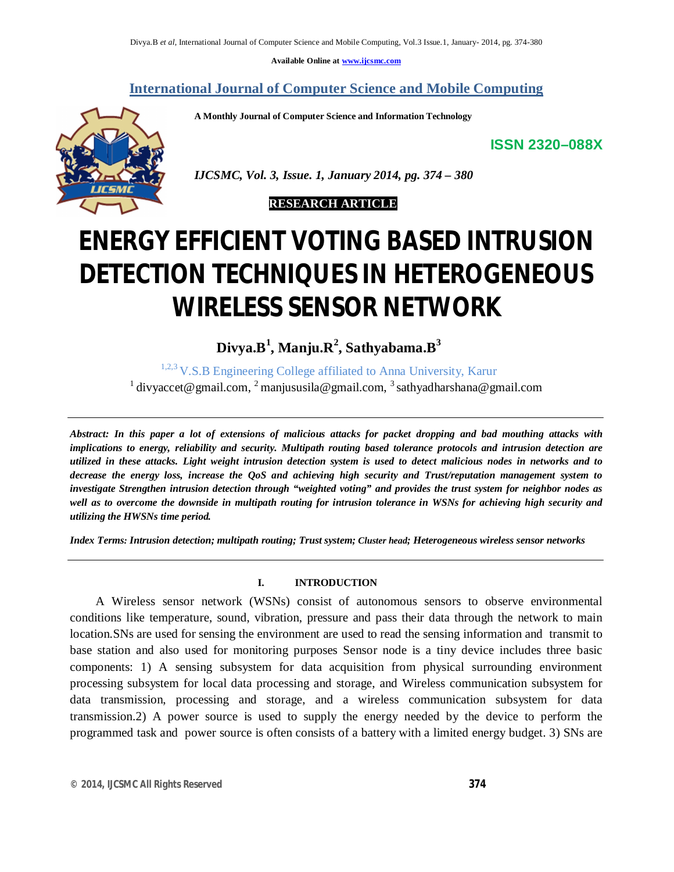**Available Online at www.ijcsmc.com**

# **International Journal of Computer Science and Mobile Computing**

 **A Monthly Journal of Computer Science and Information Technology**

**ISSN 2320–088X**



 *IJCSMC, Vol. 3, Issue. 1, January 2014, pg. 374 – 380*



# **ENERGY EFFICIENT VOTING BASED INTRUSION DETECTION TECHNIQUES IN HETEROGENEOUS WIRELESS SENSOR NETWORK**

**Divya.B<sup>1</sup> , Manju.R<sup>2</sup> , Sathyabama.B<sup>3</sup>**

1,2,3 V.S.B Engineering College affiliated to Anna University, Karur <sup>1</sup> divyaccet@gmail.com, <sup>2</sup> manjususila@gmail.com, <sup>3</sup> sathyadharshana@gmail.com

*Abstract: In this paper a lot of extensions of malicious attacks for packet dropping and bad mouthing attacks with implications to energy, reliability and security. Multipath routing based tolerance protocols and intrusion detection are utilized in these attacks. Light weight intrusion detection system is used to detect malicious nodes in networks and to decrease the energy loss, increase the QoS and achieving high security and Trust/reputation management system to investigate Strengthen intrusion detection through "weighted voting" and provides the trust system for neighbor nodes as*  well as to overcome the downside in multipath routing for intrusion tolerance in WSNs for achieving high security and *utilizing the HWSNs time period.*

*Index Terms: Intrusion detection; multipath routing; Trust system; Cluster head; Heterogeneous wireless sensor networks*

## **I. INTRODUCTION**

 A Wireless sensor network (WSNs) consist of autonomous sensors to observe environmental conditions like temperature, sound, vibration, pressure and pass their data through the network to main location.SNs are used for sensing the environment are used to read the sensing information and transmit to base station and also used for monitoring purposes Sensor node is a tiny device includes three basic components: 1) A sensing subsystem for data acquisition from physical surrounding environment processing subsystem for local data processing and storage, and Wireless communication subsystem for data transmission, processing and storage, and a wireless communication subsystem for data transmission.2) A power source is used to supply the energy needed by the device to perform the programmed task and power source is often consists of a battery with a limited energy budget. 3) SNs are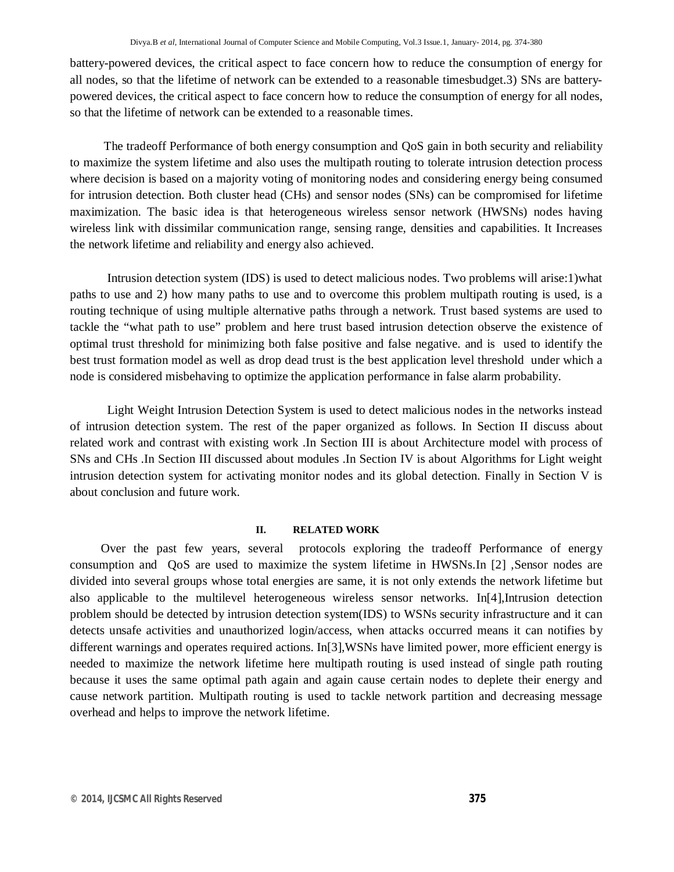battery-powered devices, the critical aspect to face concern how to reduce the consumption of energy for all nodes, so that the lifetime of network can be extended to a reasonable timesbudget.3) SNs are batterypowered devices, the critical aspect to face concern how to reduce the consumption of energy for all nodes, so that the lifetime of network can be extended to a reasonable times.

 The tradeoff Performance of both energy consumption and QoS gain in both security and reliability to maximize the system lifetime and also uses the multipath routing to tolerate intrusion detection process where decision is based on a majority voting of monitoring nodes and considering energy being consumed for intrusion detection. Both cluster head (CHs) and sensor nodes (SNs) can be compromised for lifetime maximization. The basic idea is that heterogeneous wireless sensor network (HWSNs) nodes having wireless link with dissimilar communication range, sensing range, densities and capabilities. It Increases the network lifetime and reliability and energy also achieved.

 Intrusion detection system (IDS) is used to detect malicious nodes. Two problems will arise:1)what paths to use and 2) how many paths to use and to overcome this problem multipath routing is used, is a routing technique of using multiple alternative paths through a network. Trust based systems are used to tackle the "what path to use" problem and here trust based intrusion detection observe the existence of optimal trust threshold for minimizing both false positive and false negative. and is used to identify the best trust formation model as well as drop dead trust is the best application level threshold under which a node is considered misbehaving to optimize the application performance in false alarm probability.

 Light Weight Intrusion Detection System is used to detect malicious nodes in the networks instead of intrusion detection system. The rest of the paper organized as follows. In Section II discuss about related work and contrast with existing work .In Section III is about Architecture model with process of SNs and CHs .In Section III discussed about modules .In Section IV is about Algorithms for Light weight intrusion detection system for activating monitor nodes and its global detection. Finally in Section V is about conclusion and future work.

#### **II. RELATED WORK**

 Over the past few years, several protocols exploring the tradeoff Performance of energy consumption and QoS are used to maximize the system lifetime in HWSNs.In [2] ,Sensor nodes are divided into several groups whose total energies are same, it is not only extends the network lifetime but also applicable to the multilevel heterogeneous wireless sensor networks. In[4],Intrusion detection problem should be detected by intrusion detection system(IDS) to WSNs security infrastructure and it can detects unsafe activities and unauthorized login/access, when attacks occurred means it can notifies by different warnings and operates required actions. In[3],WSNs have limited power, more efficient energy is needed to maximize the network lifetime here multipath routing is used instead of single path routing because it uses the same optimal path again and again cause certain nodes to deplete their energy and cause network partition. Multipath routing is used to tackle network partition and decreasing message overhead and helps to improve the network lifetime.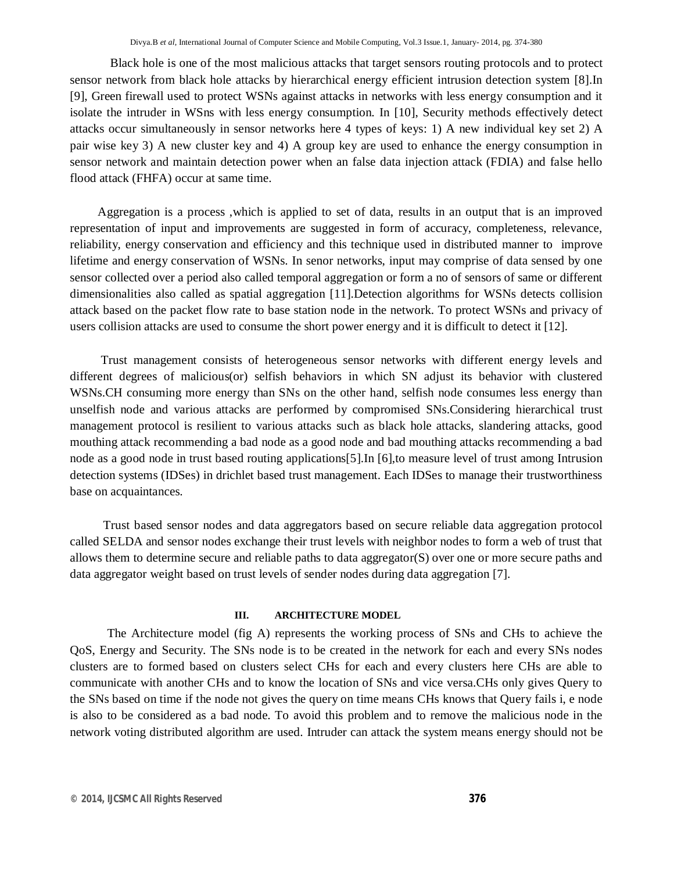Black hole is one of the most malicious attacks that target sensors routing protocols and to protect sensor network from black hole attacks by hierarchical energy efficient intrusion detection system [8].In [9], Green firewall used to protect WSNs against attacks in networks with less energy consumption and it isolate the intruder in WSns with less energy consumption. In [10], Security methods effectively detect attacks occur simultaneously in sensor networks here 4 types of keys: 1) A new individual key set 2) A pair wise key 3) A new cluster key and 4) A group key are used to enhance the energy consumption in sensor network and maintain detection power when an false data injection attack (FDIA) and false hello flood attack (FHFA) occur at same time.

 Aggregation is a process ,which is applied to set of data, results in an output that is an improved representation of input and improvements are suggested in form of accuracy, completeness, relevance, reliability, energy conservation and efficiency and this technique used in distributed manner to improve lifetime and energy conservation of WSNs. In senor networks, input may comprise of data sensed by one sensor collected over a period also called temporal aggregation or form a no of sensors of same or different dimensionalities also called as spatial aggregation [11].Detection algorithms for WSNs detects collision attack based on the packet flow rate to base station node in the network. To protect WSNs and privacy of users collision attacks are used to consume the short power energy and it is difficult to detect it [12].

 Trust management consists of heterogeneous sensor networks with different energy levels and different degrees of malicious(or) selfish behaviors in which SN adjust its behavior with clustered WSNs.CH consuming more energy than SNs on the other hand, selfish node consumes less energy than unselfish node and various attacks are performed by compromised SNs.Considering hierarchical trust management protocol is resilient to various attacks such as black hole attacks, slandering attacks, good mouthing attack recommending a bad node as a good node and bad mouthing attacks recommending a bad node as a good node in trust based routing applications[5].In [6],to measure level of trust among Intrusion detection systems (IDSes) in drichlet based trust management. Each IDSes to manage their trustworthiness base on acquaintances.

 Trust based sensor nodes and data aggregators based on secure reliable data aggregation protocol called SELDA and sensor nodes exchange their trust levels with neighbor nodes to form a web of trust that allows them to determine secure and reliable paths to data aggregator(S) over one or more secure paths and data aggregator weight based on trust levels of sender nodes during data aggregation [7].

# **III. ARCHITECTURE MODEL**

The Architecture model (fig A) represents the working process of SNs and CHs to achieve the QoS, Energy and Security. The SNs node is to be created in the network for each and every SNs nodes clusters are to formed based on clusters select CHs for each and every clusters here CHs are able to communicate with another CHs and to know the location of SNs and vice versa.CHs only gives Query to the SNs based on time if the node not gives the query on time means CHs knows that Query fails i, e node is also to be considered as a bad node. To avoid this problem and to remove the malicious node in the network voting distributed algorithm are used. Intruder can attack the system means energy should not be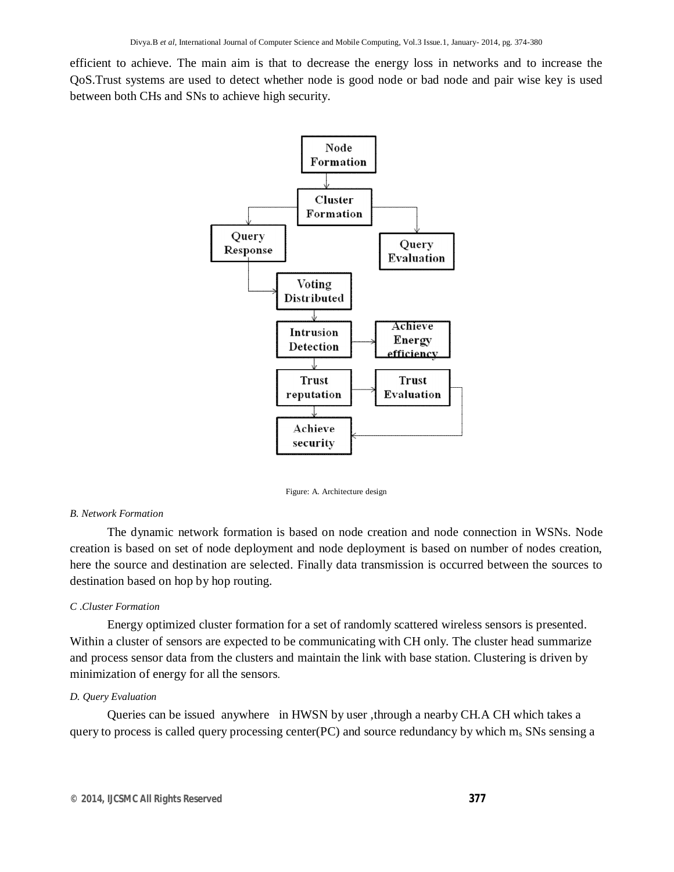efficient to achieve. The main aim is that to decrease the energy loss in networks and to increase the QoS.Trust systems are used to detect whether node is good node or bad node and pair wise key is used between both CHs and SNs to achieve high security.



Figure: A. Architecture design

#### *B. Network Formation*

 The dynamic network formation is based on node creation and node connection in WSNs. Node creation is based on set of node deployment and node deployment is based on number of nodes creation, here the source and destination are selected. Finally data transmission is occurred between the sources to destination based on hop by hop routing.

#### *C .Cluster Formation*

Energy optimized cluster formation for a set of randomly scattered wireless sensors is presented. Within a cluster of sensors are expected to be communicating with CH only. The cluster head summarize and process sensor data from the clusters and maintain the link with base station. Clustering is driven by minimization of energy for all the sensors.

#### *D. Query Evaluation*

Queries can be issued anywhere in HWSN by user ,through a nearby CH.A CH which takes a query to process is called query processing center(PC) and source redundancy by which  $m_s$  SNs sensing a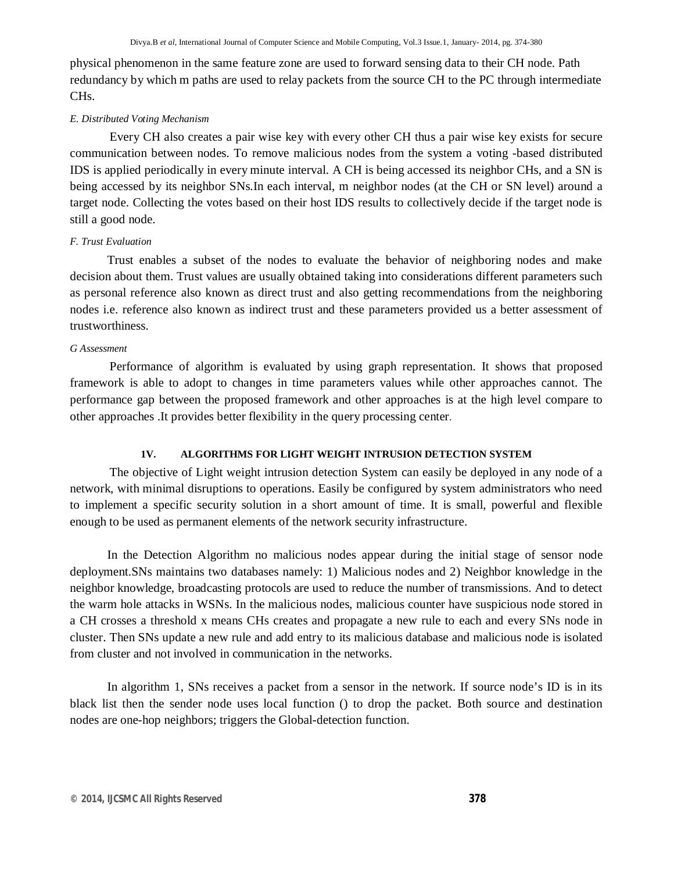physical phenomenon in the same feature zone are used to forward sensing data to their CH node. Path redundancy by which m paths are used to relay packets from the source CH to the PC through intermediate CHs.

## *E. Distributed Voting Mechanism*

Every CH also creates a pair wise key with every other CH thus a pair wise key exists for secure communication between nodes. To remove malicious nodes from the system a voting -based distributed IDS is applied periodically in every minute interval. A CH is being accessed its neighbor CHs, and a SN is being accessed by its neighbor SNs.In each interval, m neighbor nodes (at the CH or SN level) around a target node. Collecting the votes based on their host IDS results to collectively decide if the target node is still a good node.

### *F. Trust Evaluation*

Trust enables a subset of the nodes to evaluate the behavior of neighboring nodes and make decision about them. Trust values are usually obtained taking into considerations different parameters such as personal reference also known as direct trust and also getting recommendations from the neighboring nodes i.e. reference also known as indirect trust and these parameters provided us a better assessment of trustworthiness.

#### *G Assessment*

Performance of algorithm is evaluated by using graph representation. It shows that proposed framework is able to adopt to changes in time parameters values while other approaches cannot. The performance gap between the proposed framework and other approaches is at the high level compare to other approaches .It provides better flexibility in the query processing center.

## **1V. ALGORITHMS FOR LIGHT WEIGHT INTRUSION DETECTION SYSTEM**

The objective of Light weight intrusion detection System can easily be deployed in any node of a network, with minimal disruptions to operations. Easily be configured by system administrators who need to implement a specific security solution in a short amount of time. It is small, powerful and flexible enough to be used as permanent elements of the network security infrastructure.

 In the Detection Algorithm no malicious nodes appear during the initial stage of sensor node deployment.SNs maintains two databases namely: 1) Malicious nodes and 2) Neighbor knowledge in the neighbor knowledge, broadcasting protocols are used to reduce the number of transmissions. And to detect the warm hole attacks in WSNs. In the malicious nodes, malicious counter have suspicious node stored in a CH crosses a threshold x means CHs creates and propagate a new rule to each and every SNs node in cluster. Then SNs update a new rule and add entry to its malicious database and malicious node is isolated from cluster and not involved in communication in the networks.

In algorithm 1, SNs receives a packet from a sensor in the network. If source node's ID is in its black list then the sender node uses local function () to drop the packet. Both source and destination nodes are one-hop neighbors; triggers the Global-detection function.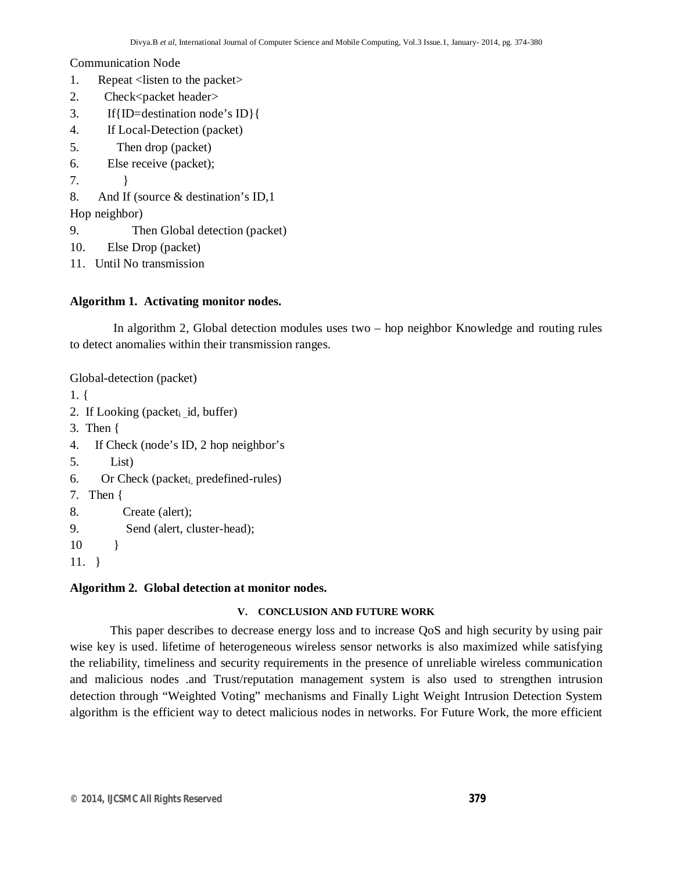Communication Node

- 1. Repeat <listen to the packet>
- 2. Check<packet header>
- 3. If{ID=destination node's ID}{
- 4. If Local-Detection (packet)
- 5. Then drop (packet)
- 6. Else receive (packet);
- 7. }
- 8. And If (source & destination's ID,1
- Hop neighbor)
- 9. Then Global detection (packet)
- 10. Else Drop (packet)
- 11. Until No transmission

# **Algorithm 1. Activating monitor nodes.**

 In algorithm 2, Global detection modules uses two – hop neighbor Knowledge and routing rules to detect anomalies within their transmission ranges.

Global-detection (packet)

- 1. {
- 2. If Looking (packet $_i$  id, buffer)
- 3. Then {
- 4. If Check (node's ID, 2 hop neighbor's
- 5. List)
- 6. Or Check (packeti, predefined-rules)
- 7. Then {
- 8. Create (alert);
- 9. Send (alert, cluster-head);
- 10 }
- 11. }

# **Algorithm 2. Global detection at monitor nodes.**

# **V. CONCLUSION AND FUTURE WORK**

 This paper describes to decrease energy loss and to increase QoS and high security by using pair wise key is used. lifetime of heterogeneous wireless sensor networks is also maximized while satisfying the reliability, timeliness and security requirements in the presence of unreliable wireless communication and malicious nodes .and Trust/reputation management system is also used to strengthen intrusion detection through "Weighted Voting" mechanisms and Finally Light Weight Intrusion Detection System algorithm is the efficient way to detect malicious nodes in networks. For Future Work, the more efficient